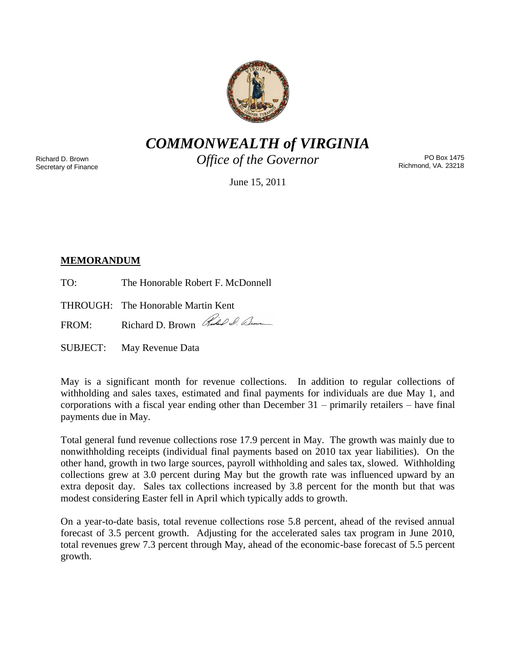

*COMMONWEALTH of VIRGINIA*

Richard D. Brown Secretary of Finance *Office of the Governor*

PO Box 1475 Richmond, VA. 23218

June 15, 2011

# **MEMORANDUM**

TO: The Honorable Robert F. McDonnell

THROUGH: The Honorable Martin Kent

FROM: Richard D. Brown Red I. Den

SUBJECT: May Revenue Data

May is a significant month for revenue collections. In addition to regular collections of withholding and sales taxes, estimated and final payments for individuals are due May 1, and corporations with a fiscal year ending other than December 31 – primarily retailers – have final payments due in May.

Total general fund revenue collections rose 17.9 percent in May. The growth was mainly due to nonwithholding receipts (individual final payments based on 2010 tax year liabilities). On the other hand, growth in two large sources, payroll withholding and sales tax, slowed. Withholding collections grew at 3.0 percent during May but the growth rate was influenced upward by an extra deposit day. Sales tax collections increased by 3.8 percent for the month but that was modest considering Easter fell in April which typically adds to growth.

On a year-to-date basis, total revenue collections rose 5.8 percent, ahead of the revised annual forecast of 3.5 percent growth. Adjusting for the accelerated sales tax program in June 2010, total revenues grew 7.3 percent through May, ahead of the economic-base forecast of 5.5 percent growth.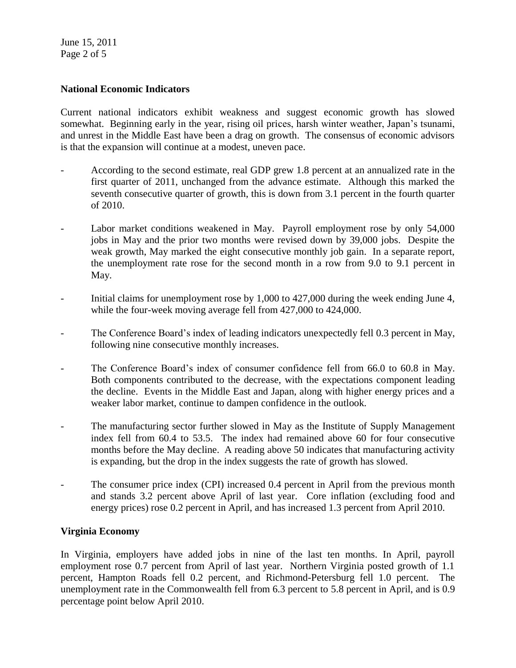June 15, 2011 Page 2 of 5

## **National Economic Indicators**

Current national indicators exhibit weakness and suggest economic growth has slowed somewhat. Beginning early in the year, rising oil prices, harsh winter weather, Japan's tsunami, and unrest in the Middle East have been a drag on growth. The consensus of economic advisors is that the expansion will continue at a modest, uneven pace.

- According to the second estimate, real GDP grew 1.8 percent at an annualized rate in the first quarter of 2011, unchanged from the advance estimate. Although this marked the seventh consecutive quarter of growth, this is down from 3.1 percent in the fourth quarter of 2010.
- Labor market conditions weakened in May. Payroll employment rose by only 54,000 jobs in May and the prior two months were revised down by 39,000 jobs. Despite the weak growth, May marked the eight consecutive monthly job gain. In a separate report, the unemployment rate rose for the second month in a row from 9.0 to 9.1 percent in May.
- Initial claims for unemployment rose by 1,000 to 427,000 during the week ending June 4, while the four-week moving average fell from 427,000 to 424,000.
- The Conference Board's index of leading indicators unexpectedly fell 0.3 percent in May, following nine consecutive monthly increases.
- The Conference Board's index of consumer confidence fell from 66.0 to 60.8 in May. Both components contributed to the decrease, with the expectations component leading the decline. Events in the Middle East and Japan, along with higher energy prices and a weaker labor market, continue to dampen confidence in the outlook.
- The manufacturing sector further slowed in May as the Institute of Supply Management index fell from 60.4 to 53.5. The index had remained above 60 for four consecutive months before the May decline. A reading above 50 indicates that manufacturing activity is expanding, but the drop in the index suggests the rate of growth has slowed.
- The consumer price index (CPI) increased 0.4 percent in April from the previous month and stands 3.2 percent above April of last year. Core inflation (excluding food and energy prices) rose 0.2 percent in April, and has increased 1.3 percent from April 2010.

## **Virginia Economy**

In Virginia, employers have added jobs in nine of the last ten months. In April, payroll employment rose 0.7 percent from April of last year. Northern Virginia posted growth of 1.1 percent, Hampton Roads fell 0.2 percent, and Richmond-Petersburg fell 1.0 percent. The unemployment rate in the Commonwealth fell from 6.3 percent to 5.8 percent in April, and is 0.9 percentage point below April 2010.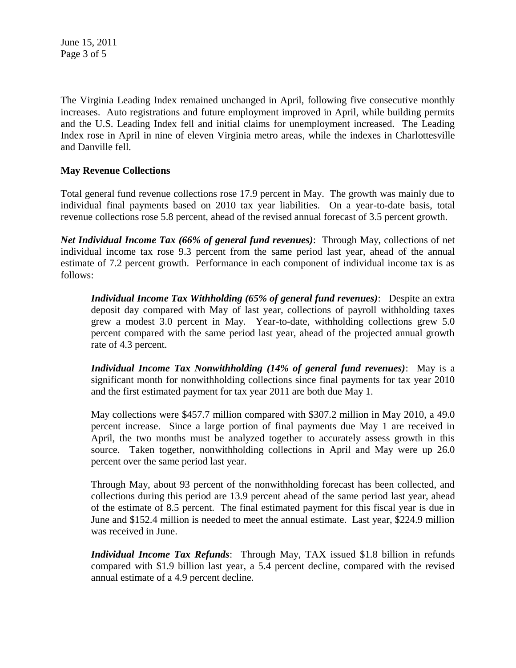June 15, 2011 Page 3 of 5

The Virginia Leading Index remained unchanged in April, following five consecutive monthly increases. Auto registrations and future employment improved in April, while building permits and the U.S. Leading Index fell and initial claims for unemployment increased. The Leading Index rose in April in nine of eleven Virginia metro areas, while the indexes in Charlottesville and Danville fell.

## **May Revenue Collections**

Total general fund revenue collections rose 17.9 percent in May. The growth was mainly due to individual final payments based on 2010 tax year liabilities. On a year-to-date basis, total revenue collections rose 5.8 percent, ahead of the revised annual forecast of 3.5 percent growth.

*Net Individual Income Tax (66% of general fund revenues)*: Through May, collections of net individual income tax rose 9.3 percent from the same period last year, ahead of the annual estimate of 7.2 percent growth. Performance in each component of individual income tax is as follows:

*Individual Income Tax Withholding (65% of general fund revenues)*: Despite an extra deposit day compared with May of last year, collections of payroll withholding taxes grew a modest 3.0 percent in May. Year-to-date, withholding collections grew 5.0 percent compared with the same period last year, ahead of the projected annual growth rate of 4.3 percent.

*Individual Income Tax Nonwithholding (14% of general fund revenues)*: May is a significant month for nonwithholding collections since final payments for tax year 2010 and the first estimated payment for tax year 2011 are both due May 1.

May collections were \$457.7 million compared with \$307.2 million in May 2010, a 49.0 percent increase. Since a large portion of final payments due May 1 are received in April, the two months must be analyzed together to accurately assess growth in this source. Taken together, nonwithholding collections in April and May were up 26.0 percent over the same period last year.

Through May, about 93 percent of the nonwithholding forecast has been collected, and collections during this period are 13.9 percent ahead of the same period last year, ahead of the estimate of 8.5 percent. The final estimated payment for this fiscal year is due in June and \$152.4 million is needed to meet the annual estimate. Last year, \$224.9 million was received in June.

*Individual Income Tax Refunds*: Through May, TAX issued \$1.8 billion in refunds compared with \$1.9 billion last year, a 5.4 percent decline, compared with the revised annual estimate of a 4.9 percent decline.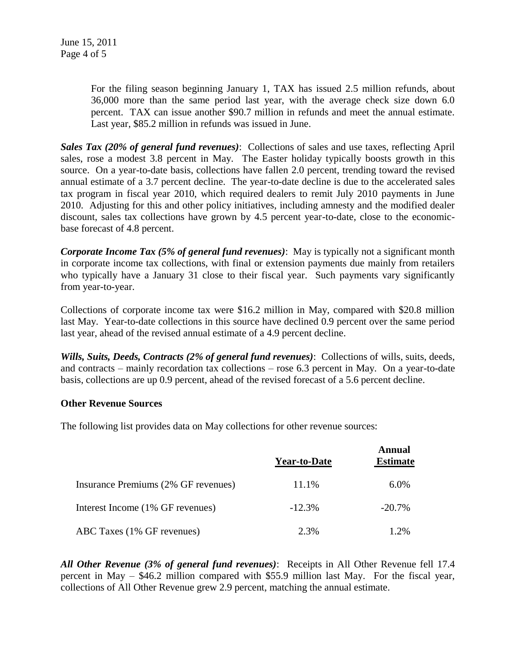For the filing season beginning January 1, TAX has issued 2.5 million refunds, about 36,000 more than the same period last year, with the average check size down 6.0 percent. TAX can issue another \$90.7 million in refunds and meet the annual estimate. Last year, \$85.2 million in refunds was issued in June.

*Sales Tax (20% of general fund revenues)*: Collections of sales and use taxes, reflecting April sales, rose a modest 3.8 percent in May. The Easter holiday typically boosts growth in this source. On a year-to-date basis, collections have fallen 2.0 percent, trending toward the revised annual estimate of a 3.7 percent decline. The year-to-date decline is due to the accelerated sales tax program in fiscal year 2010, which required dealers to remit July 2010 payments in June 2010. Adjusting for this and other policy initiatives, including amnesty and the modified dealer discount, sales tax collections have grown by 4.5 percent year-to-date, close to the economicbase forecast of 4.8 percent.

*Corporate Income Tax (5% of general fund revenues)*: May is typically not a significant month in corporate income tax collections, with final or extension payments due mainly from retailers who typically have a January 31 close to their fiscal year. Such payments vary significantly from year-to-year.

Collections of corporate income tax were \$16.2 million in May, compared with \$20.8 million last May. Year-to-date collections in this source have declined 0.9 percent over the same period last year, ahead of the revised annual estimate of a 4.9 percent decline.

*Wills, Suits, Deeds, Contracts (2% of general fund revenues)*: Collections of wills, suits, deeds, and contracts – mainly recordation tax collections – rose 6.3 percent in May. On a year-to-date basis, collections are up 0.9 percent, ahead of the revised forecast of a 5.6 percent decline.

## **Other Revenue Sources**

The following list provides data on May collections for other revenue sources:

|                                     | <b>Year-to-Date</b> | <b>Annual</b><br><b>Estimate</b> |
|-------------------------------------|---------------------|----------------------------------|
| Insurance Premiums (2% GF revenues) | 11.1%               | 6.0%                             |
| Interest Income (1% GF revenues)    | $-12.3%$            | $-20.7\%$                        |
| ABC Taxes (1% GF revenues)          | 2.3%                | 1.2%                             |

*All Other Revenue (3% of general fund revenues)*: Receipts in All Other Revenue fell 17.4 percent in May – \$46.2 million compared with \$55.9 million last May. For the fiscal year, collections of All Other Revenue grew 2.9 percent, matching the annual estimate.